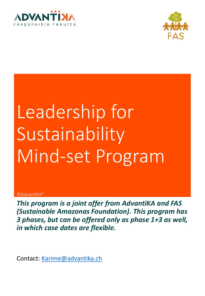



# Leadership for Sustainability Mind-set Program

#### ©AdvantiKA\*

*This program is a joint offer from AdvantiKA and FAS (Sustainable Amazonas Foundation). This program has 3 phases, but can be offered only as phase 1+3 as well, in which case dates are flexible.*

Contact: [Karime@advantika.ch](mailto:Karime@advantika.ch)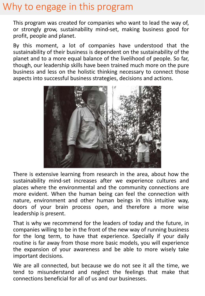# Why to engage in this program

This program was created for companies who want to lead the way of, or strongly grow, sustainability mind-set, making business good for profit, people and planet.

By this moment, a lot of companies have understood that the sustainability of their business is dependent on the sustainability of the planet and to a more equal balance of the livelihood of people. So far, though, our leadership skills have been trained much more on the pure business and less on the holistic thinking necessary to connect those aspects into successful business strategies, decisions and actions.



There is extensive learning from research in the area, about how the sustainability mind-set increases after we experience cultures and places where the environmental and the community connections are more evident. When the human being can feel the connection with nature, environment and other human beings in this intuitive way, doors of your brain process open, and therefore a more wise leadership is present.

That is why we recommend for the leaders of today and the future, in companies willing to be in the front of the new way of running business for the long term, to have that experience. Specially if your daily routine is far away from those more basic models, you will experience the expansion of your awareness and be able to more wisely take important decisions.

We are all connected, but because we do not see it all the time, we tend to misunderstand and neglect the feelings that make that connections beneficial for all of us and our businesses.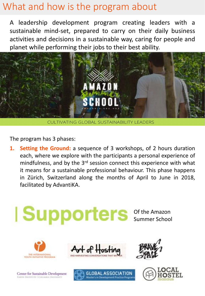# What and how is the program about

A leadership development program creating leaders with a sustainable mind-set, prepared to carry on their daily business activities and decisions in a sustainable way, caring for people and planet while performing their jobs to their best ability.



**CULTIVATING GLOBAL SUSTAINABILITY LEADERS** 

The program has 3 phases:

**1. Setting the Ground:** a sequence of 3 workshops, of 2 hours duration each, where we explore with the participants a personal experience of mindfulness, and by the 3<sup>rd</sup> session connect this experience with what it means for a sustainable professional behaviour. This phase happens in Zürich, Switzerland along the months of April to June in 2018, facilitated by AdvantiKA.

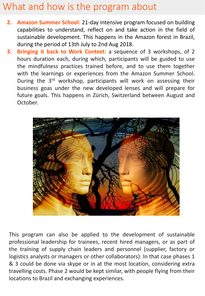# What and how is the program about

- **2. Amazon Summer School:** 21-day intensive program focused on building capabilities to understand, reflect on and take action in the field of sustainable development. This happens in the Amazon forest in Brazil, during the period of 13th July to 2nd Aug 2018.
- **3. Bringing it back to Work Context:** a sequence of 3 workshops, of 2 hours duration each, during which, participants will be guided to use the mindfulness practices trained before, and to use them together with the learnings or experiences from the Amazon Summer School. During the 3rd workshop, participants will work on assessing their business goas under the new developed lenses and will prepare for future goals. This happens in Zürich, Switzerland between August and October.



This program can also be applied to the development of sustainable professional leadership for trainees, recent hired managers, or as part of the training of supply chain leaders and personnel (supplier, factory or logistics analysts or managers or other collaborators). In that case phases 1 & 3 could be done via skype or in at the most location, considering extra travelling costs. Phase 2 would be kept similar, with people flying from their locations to Brazil and exchanging experiences.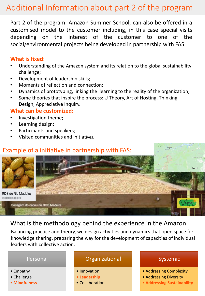# Additional Information about part 2 of the program

Part 2 of the program: Amazon Summer School, can also be offered in a customised model to the customer including, in this case special visits depending on the interest of the customer to one of the social/environmental projects being developed in partnership with FAS

## **What is fixed:**

- Understanding of the Amazon system and its relation to the global sustainability challenge;
- Development of leadership skills;
- Moments of reflection and connection;
- Dynamics of prototyping, linking the learning to the reality of the organization;
- Some theories that inspire the process: U Theory, Art of Hosting, Thinking Design, Appreciative Inquiry.

## **What can be customized:**

- Investigation theme;
- Learning design;
- Participants and speakers;
- Visited communities and initiatives.



## What is the methodology behind the experience in the Amazon

Balancing practice and theory, we design activities and dynamics that open space for knowledge sharing, preparing the way for the development of capacities of individual leaders with collective action.



### • Challenge

• **Mindfulness**

- **Leadership**
- Collaboration

## Systemic

- Addressing Complexity
- Addressing Diversity
- **Addressing Sustainability**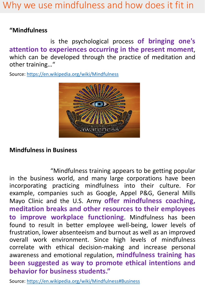## **"Mindfulness**

is the psychological process **of bringing one's attention to experiences occurring in the present moment**, which can be developed through the practice of meditation and other training…"

Source:<https://en.wikipedia.org/wiki/Mindfulness>



# **Mindfulness in Business**

"Mindfulness training appears to be getting popular in the business world, and many large corporations have been incorporating practicing mindfulness into their culture. For example, companies such as Google, Appel P&G, General Mills Mayo Clinic and the U.S. Army **offer mindfulness coaching, meditation breaks and other resources to their employees to improve workplace functioning**. Mindfulness has been found to result in better employee well-being, lower levels of frustration, lower absenteeism and burnout as well as an improved overall work environment. Since high levels of mindfulness correlate with ethical decision-making and increase personal awareness and emotional regulation, **mindfulness training has been suggested as way to promote ethical intentions and behavior for business students."**

Source: [https://en.wikipedia.org/wiki/Mindfulness#Business](https://en.wikipedia.org/wiki/Mindfulness)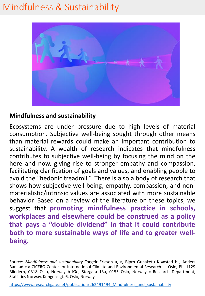# Mindfulness & Sustainability



# **Mindfulness and sustainability**

Ecosystems are under pressure due to high levels of material consumption. Subjective well-being sought through other means than material rewards could make an important contribution to sustainability. A wealth of research indicates that mindfulness contributes to subjective well-being by focusing the mind on the here and now, giving rise to stronger empathy and compassion, facilitating clarification of goals and values, and enabling people to avoid the "hedonic treadmill". There is also a body of research that shows how subjective well-being, empathy, compassion, and nonmaterialistic/intrinsic values are associated with more sustainable behavior. Based on a review of the literature on these topics, we suggest that **promoting mindfulness practice in schools, workplaces and elsewhere could be construed as a policy that pays a "double dividend" in that it could contribute both to more sustainable ways of life and to greater wellbeing.**

Source: *Mindfulness and sustainability* Torgeir Ericson a, ⁎, Bjørn Gunaketu Kjønstad b , Anders Barstad c a CICERO Center for International Climate and Environmental Research — Oslo, Pb. 1129 Blindern, 0318 Oslo, Norway b iGo, Storgata 13a, 0155 Oslo, Norway c Research Department, Statistics Norway, Kongens gt. 6, Oslo, Norway

https://www.researchgate.net/publication/262491494 Mindfulness and sustainability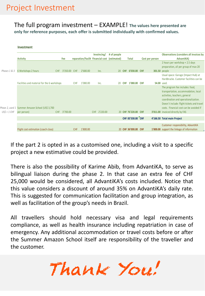### The full program investment – EXAMPLE! **The values here presented are only for reference purposes, each offer is submitted individually with confirmed values.**

|               | <b>Investment</b>                                |            |          |                                               |          |              |  |             |            |                      |  |                 |  |                                                                                                                                                                                                                                           |
|---------------|--------------------------------------------------|------------|----------|-----------------------------------------------|----------|--------------|--|-------------|------------|----------------------|--|-----------------|--|-------------------------------------------------------------------------------------------------------------------------------------------------------------------------------------------------------------------------------------------|
|               |                                                  |            |          |                                               |          | Invoincing/  |  | # of people |            |                      |  |                 |  | <b>Observations (considers all invoices by</b>                                                                                                                                                                                            |
|               | <b>Activity</b>                                  |            | Fee      | reparation/Facilit Financial cost (estimated) |          |              |  |             |            | Total                |  | Cost per person |  | AdvantiKA)                                                                                                                                                                                                                                |
| Phases 1 & 3  | 6 Workshops 2 hours                              | <b>CHF</b> | 3'350.00 | CHF                                           | 2'680.00 | Inc.         |  | <b>20</b>   |            | CHF 6'030.00 CHF     |  |                 |  | 2 hours per workshop + 2.5 days<br>preparation, all per group of max 20<br><b>301.50</b> people                                                                                                                                           |
|               | Facilities and material for the 6 workshops      |            |          | <b>CHF</b>                                    | 1'080.00 | Inc.         |  | 20          | <b>CHF</b> | 1'080.00 CHF         |  |                 |  | Usual space: Garage (Impact Hub) at<br>Hardbrucke, Customer facilities can be<br>54.00 used.                                                                                                                                              |
|               | Phase 2, used 1 Summer Amazon School (US\$ 3,700 |            |          |                                               |          |              |  |             |            |                      |  |                 |  | The program fee includes: food,<br>transportation, accommodation, local<br>activities, teachers, general<br>coordination and operationalization.<br>Doesn't include: flight tickets and travel<br>costs. Financial cost can be avoided if |
| $USS = 1$ CHF | per person)                                      | CHF        | 3'700.00 |                                               |          | CHF 2'220.00 |  |             |            | 20 CHF 76'220.00 CHF |  |                 |  | 3'811.00 invoiced directly by FAS                                                                                                                                                                                                         |
|               |                                                  |            |          |                                               |          |              |  |             |            | CHF 83'330.00 CHF    |  |                 |  | 4'166.50 Total main Project                                                                                                                                                                                                               |
|               | Flight cost estimation (coach class)             |            |          | <b>CHF</b>                                    | 1'800.00 |              |  |             |            | 20 CHF 36'000.00 CHF |  |                 |  | Customer responsibility, AdvantiKA<br>1'800.00 support the linkage of information                                                                                                                                                         |

If the part 2 is opted in as a customised one, including a visit to a specific project a new estimative could be provided.

There is also the possibility of Karime Abib, from AdvantiKA, to serve as bilingual liaison during the phase 2. In that case an extra fee of CHF 25,000 would be considered, all AdvantiKA's costs included. Notice that this value considers a discount of around 35% on AdvantiKA's daily rate. This is suggested for communication facilitation and group integration, as well as facilitation of the group's needs in Brazil.

All travellers should hold necessary visa and legal requirements compliance, as well as health insurance including repatriation in case of emergency. Any additional accommodation or travel costs before or after the Summer Amazon School itself are responsibility of the traveller and the customer.

Thank You!